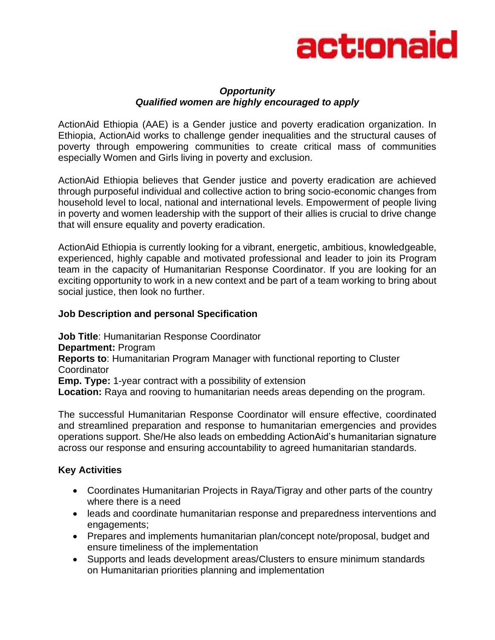

## *Opportunity Qualified women are highly encouraged to apply*

ActionAid Ethiopia (AAE) is a Gender justice and poverty eradication organization. In Ethiopia, ActionAid works to challenge gender inequalities and the structural causes of poverty through empowering communities to create critical mass of communities especially Women and Girls living in poverty and exclusion.

ActionAid Ethiopia believes that Gender justice and poverty eradication are achieved through purposeful individual and collective action to bring socio-economic changes from household level to local, national and international levels. Empowerment of people living in poverty and women leadership with the support of their allies is crucial to drive change that will ensure equality and poverty eradication.

ActionAid Ethiopia is currently looking for a vibrant, energetic, ambitious, knowledgeable, experienced, highly capable and motivated professional and leader to join its Program team in the capacity of Humanitarian Response Coordinator. If you are looking for an exciting opportunity to work in a new context and be part of a team working to bring about social justice, then look no further.

## **Job Description and personal Specification**

**Job Title**: Humanitarian Response Coordinator **Department:** Program **Reports to**: Humanitarian Program Manager with functional reporting to Cluster **Coordinator Emp. Type:** 1-year contract with a possibility of extension **Location:** Raya and rooving to humanitarian needs areas depending on the program.

The successful Humanitarian Response Coordinator will ensure effective, coordinated and streamlined preparation and response to humanitarian emergencies and provides operations support. She/He also leads on embedding ActionAid's humanitarian signature across our response and ensuring accountability to agreed humanitarian standards.

## **Key Activities**

- Coordinates Humanitarian Projects in Raya/Tigray and other parts of the country where there is a need
- leads and coordinate humanitarian response and preparedness interventions and engagements;
- Prepares and implements humanitarian plan/concept note/proposal, budget and ensure timeliness of the implementation
- Supports and leads development areas/Clusters to ensure minimum standards on Humanitarian priorities planning and implementation